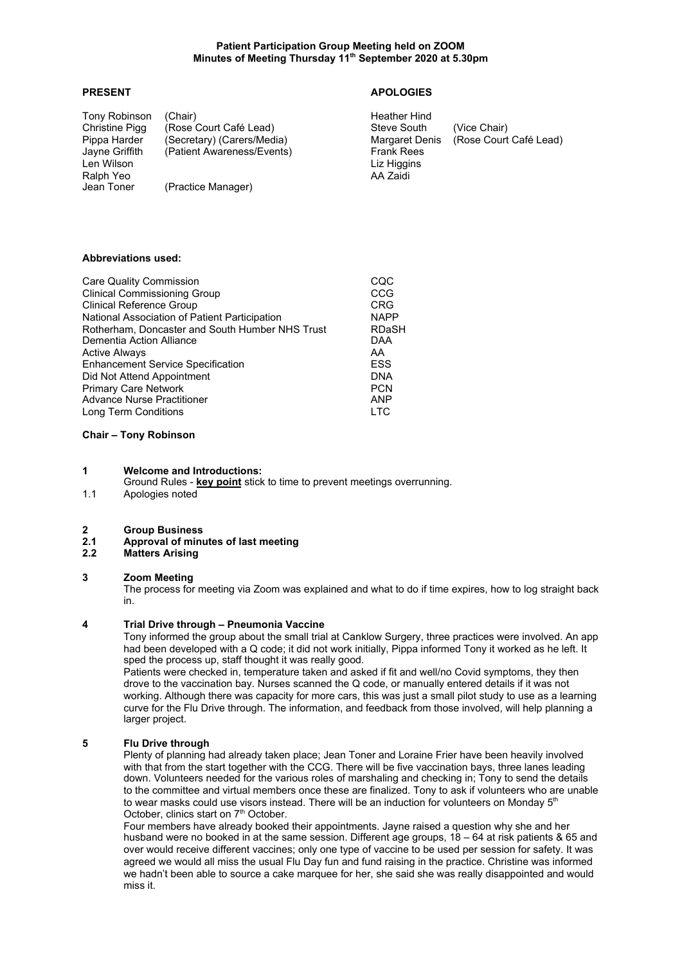### **Patient Participation Group Meeting held on ZOOM Minutes of Meeting Thursday 11th September 2020 at 5.30pm**

## **PRESENT APOLOGIES**

Tony Robinson (Chair)<br>
Christine Pigg (Rose Court Café Lead) Steve South Steve South (Rose Court Café Lead) <br>
(Secretary) (Carers/Media) Steve South (Vice Chair)<br>
Margaret Denis (Rose Court Café Lead) Pippa Harder (Secretary) (Carers/Media) Margaret Denis (Rose Court Carent Court Carent Court Carent Carent Car<br>
Jayne Griffith (Patient Awareness/Events) Trank Rees (Patient Awareness/Events) Frank Rees Len Wilson **Liz Higgins**<br>Ralph Yeo **Ralph Ralph Ralph Ralph Additional** Additional Additional Additional Additional Additional Additional Ralph Yeo<br>Jean Toner (Practice Manager)

## **Abbreviations used:**

| <b>Care Quality Commission</b>                  | CQC          |
|-------------------------------------------------|--------------|
| <b>Clinical Commissioning Group</b>             | CCG          |
| <b>Clinical Reference Group</b>                 | <b>CRG</b>   |
| National Association of Patient Participation   | <b>NAPP</b>  |
| Rotherham, Doncaster and South Humber NHS Trust | <b>RDaSH</b> |
| Dementia Action Alliance                        | <b>DAA</b>   |
| <b>Active Always</b>                            | AA           |
| <b>Enhancement Service Specification</b>        | <b>ESS</b>   |
| Did Not Attend Appointment                      | <b>DNA</b>   |
| <b>Primary Care Network</b>                     | <b>PCN</b>   |
| <b>Advance Nurse Practitioner</b>               | <b>ANP</b>   |
| Long Term Conditions                            | LTC          |

#### **Chair – Tony Robinson**

### **1 Welcome and Introductions:**

Ground Rules - **key point** stick to time to prevent meetings overrunning.

1.1 Apologies noted

#### **2 Group Business**

# **2.1 Approval of minutes of last meeting**

**2.2 Matters Arising**

### **3 Zoom Meeting**

The process for meeting via Zoom was explained and what to do if time expires, how to log straight back in.

#### **4 Trial Drive through – Pneumonia Vaccine**

Tony informed the group about the small trial at Canklow Surgery, three practices were involved. An app had been developed with a Q code; it did not work initially, Pippa informed Tony it worked as he left. It sped the process up, staff thought it was really good.

Patients were checked in, temperature taken and asked if fit and well/no Covid symptoms, they then drove to the vaccination bay. Nurses scanned the Q code, or manually entered details if it was not working. Although there was capacity for more cars, this was just a small pilot study to use as a learning curve for the Flu Drive through. The information, and feedback from those involved, will help planning a larger project.

## **5 Flu Drive through**

Plenty of planning had already taken place; Jean Toner and Loraine Frier have been heavily involved with that from the start together with the CCG. There will be five vaccination bays, three lanes leading down. Volunteers needed for the various roles of marshaling and checking in; Tony to send the details to the committee and virtual members once these are finalized. Tony to ask if volunteers who are unable to wear masks could use visors instead. There will be an induction for volunteers on Monday  $5<sup>th</sup>$ October, clinics start on 7<sup>th</sup> October.

Four members have already booked their appointments. Jayne raised a question why she and her husband were no booked in at the same session. Different age groups, 18 – 64 at risk patients & 65 and over would receive different vaccines; only one type of vaccine to be used per session for safety. It was agreed we would all miss the usual Flu Day fun and fund raising in the practice. Christine was informed we hadn't been able to source a cake marquee for her, she said she was really disappointed and would miss it.